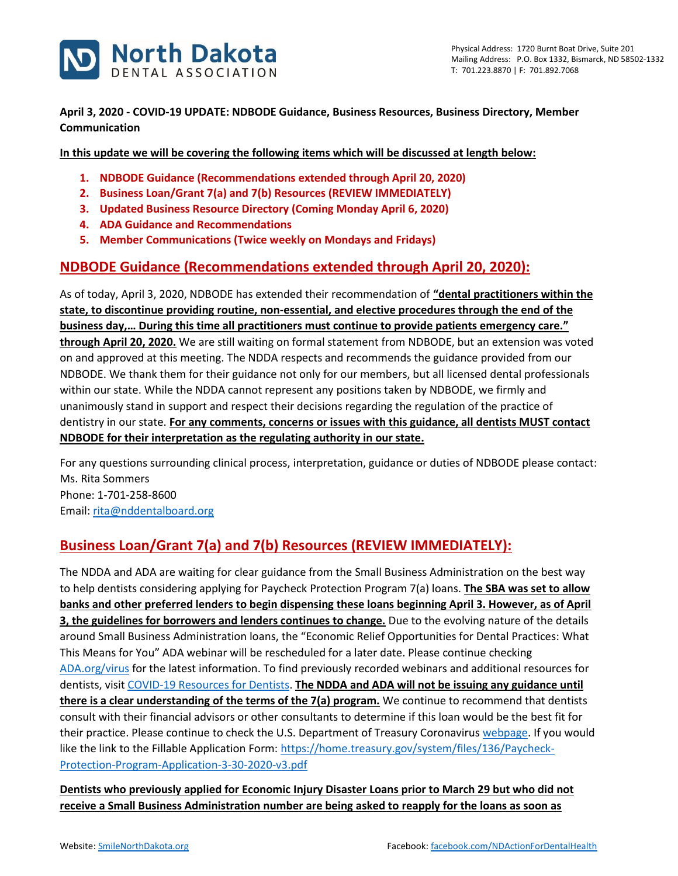

**April 3, 2020 - COVID-19 UPDATE: NDBODE Guidance, Business Resources, Business Directory, Member Communication**

**In this update we will be covering the following items which will be discussed at length below:**

- **1. NDBODE Guidance (Recommendations extended through April 20, 2020)**
- **2. Business Loan/Grant 7(a) and 7(b) Resources (REVIEW IMMEDIATELY)**
- **3. Updated Business Resource Directory (Coming Monday April 6, 2020)**
- **4. ADA Guidance and Recommendations**
- **5. Member Communications (Twice weekly on Mondays and Fridays)**

### **NDBODE Guidance (Recommendations extended through April 20, 2020):**

As of today, April 3, 2020, NDBODE has extended their recommendation of **"dental practitioners within the state, to discontinue providing routine, non-essential, and elective procedures through the end of the business day,… During this time all practitioners must continue to provide patients emergency care." through April 20, 2020.** We are still waiting on formal statement from NDBODE, but an extension was voted on and approved at this meeting. The NDDA respects and recommends the guidance provided from our NDBODE. We thank them for their guidance not only for our members, but all licensed dental professionals within our state. While the NDDA cannot represent any positions taken by NDBODE, we firmly and unanimously stand in support and respect their decisions regarding the regulation of the practice of dentistry in our state. **For any comments, concerns or issues with this guidance, all dentists MUST contact NDBODE for their interpretation as the regulating authority in our state.**

For any questions surrounding clinical process, interpretation, guidance or duties of NDBODE please contact: Ms. Rita Sommers

Phone: 1-701-258-8600 Email: [rita@nddentalboard.org](mailto:rita@nddentalboard.org)

# **Business Loan/Grant 7(a) and 7(b) Resources (REVIEW IMMEDIATELY):**

The NDDA and ADA are waiting for clear guidance from the Small Business Administration on the best way to help dentists considering applying for Paycheck Protection Program 7(a) loans. **The SBA was set to allow banks and other preferred lenders to begin dispensing these loans beginning April 3. However, as of April 3, the guidelines for borrowers and lenders continues to change.** Due to the evolving nature of the details around Small Business Administration loans, the "Economic Relief Opportunities for Dental Practices: What This Means for You" ADA webinar will be rescheduled for a later date. Please continue checking [ADA.org/virus](https://success.ada.org/en/practice-management/patients/infectious-diseases-2019-novel-coronavirus?utm_source=adaorg&utm_medium=VanityURL) for the latest information. To find previously recorded webinars and additional resources for dentists, visit [COVID-19 Resources for Dentists.](https://success.ada.org/en/practice-management/patients/infectious-diseases-2019-novel-coronavirus?utm_source=adaorg&utm_medium=VanityURL) **The NDDA and ADA will not be issuing any guidance until there is a clear understanding of the terms of the 7(a) program.** We continue to recommend that dentists consult with their financial advisors or other consultants to determine if this loan would be the best fit for their practice. Please continue to check the U.S. Department of Treasury Coronavirus [webpage.](https://home.treasury.gov/cares) If you would like the link to the Fillable Application Form: [https://home.treasury.gov/system/files/136/Paycheck-](https://home.treasury.gov/system/files/136/Paycheck-Protection-Program-Application-3-30-2020-v3.pdf)[Protection-Program-Application-3-30-2020-v3.pdf](https://home.treasury.gov/system/files/136/Paycheck-Protection-Program-Application-3-30-2020-v3.pdf)

**Dentists who previously applied for Economic Injury Disaster Loans prior to March 29 but who did not receive a Small Business Administration number are being asked to reapply for the loans as soon as**